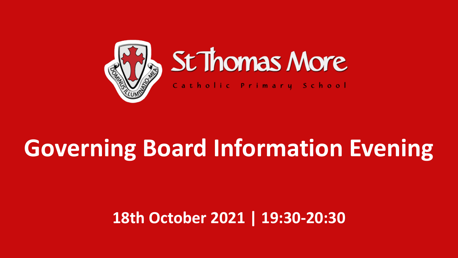

# St Thomas More

Catholic Primary School

# **Governing Board Information Evening**

#### **18th October 2021 | 19:30-20:30**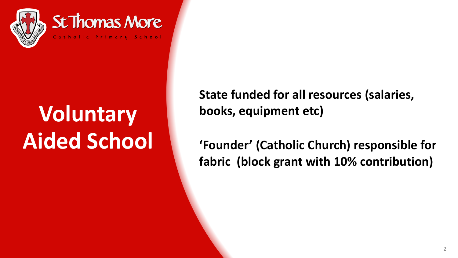

# **Voluntary Aided School**

**State funded for all resources (salaries, books, equipment etc)** 

**'Founder' (Catholic Church) responsible for fabric (block grant with 10% contribution)**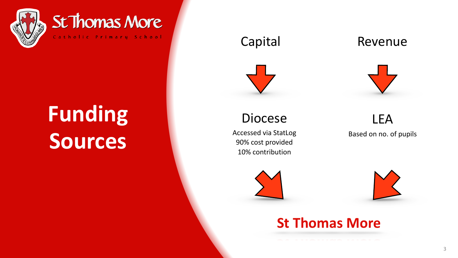

St Thomas More Catholic Primary School

# **Funding Sources**



#### Diocese

Accessed via StatLog 90% cost provided 10% contribution





**St Thomas More** 

#### Capital Revenue



LEA Based on no. of pupils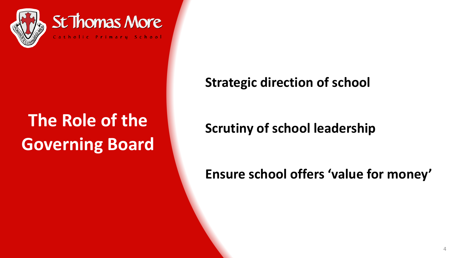

## **The Role of the Governing Board**

#### **Strategic direction of school**

#### **Scrutiny of school leadership**

#### **Ensure school offers 'value for money'**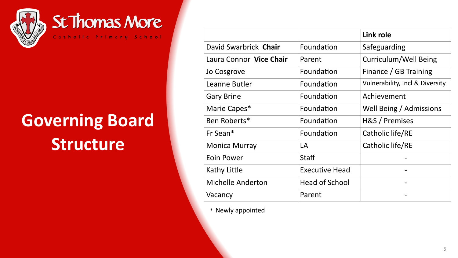

## **Governing Board Structure**

|                          |                       | Link role                                  |  |
|--------------------------|-----------------------|--------------------------------------------|--|
| David Swarbrick Chair    | Foundation            | Safeguarding                               |  |
| Laura Connor Vice Chair  | Parent                | Curriculum/Well Being                      |  |
| Jo Cosgrove              | Foundation            | Finance / GB Training                      |  |
| Leanne Butler            | Foundation            | <b>Vulnerability, Incl &amp; Diversity</b> |  |
| <b>Gary Brine</b>        | Foundation            | Achievement                                |  |
| Marie Capes*             | Foundation            | Well Being / Admissions                    |  |
| Ben Roberts*             | Foundation            | H&S / Premises                             |  |
| Fr Sean*                 | Foundation            | Catholic life/RE                           |  |
| <b>Monica Murray</b>     | LA                    | Catholic life/RE                           |  |
| Eoin Power               | <b>Staff</b>          |                                            |  |
| Kathy Little             | <b>Executive Head</b> |                                            |  |
| <b>Michelle Anderton</b> | <b>Head of School</b> |                                            |  |
| Vacancy                  | Parent                |                                            |  |

\* Newly appointed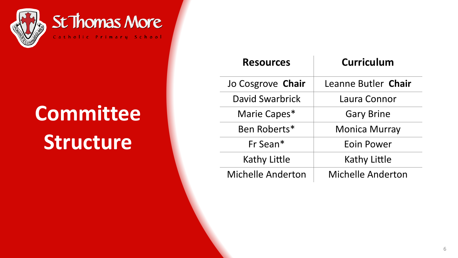

# **Committee Structure**

| <b>Resources</b>    | <b>Curriculum</b>        |  |  |
|---------------------|--------------------------|--|--|
| Jo Cosgrove Chair   | Leanne Butler Chair      |  |  |
| David Swarbrick     | Laura Connor             |  |  |
| Marie Capes*        | <b>Gary Brine</b>        |  |  |
| Ben Roberts*        | <b>Monica Murray</b>     |  |  |
| Fr Sean*            | Eoin Power               |  |  |
| <b>Kathy Little</b> | <b>Kathy Little</b>      |  |  |
| Michelle Anderton   | <b>Michelle Anderton</b> |  |  |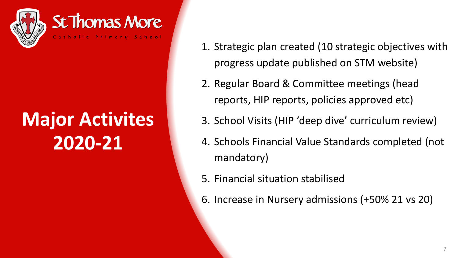

## **Major Activites 2020-21**

- 1. Strategic plan created (10 strategic objectives with progress update published on STM website)
- 2. Regular Board & Committee meetings (head reports, HIP reports, policies approved etc)
- 3. School Visits (HIP 'deep dive' curriculum review)
- 4. Schools Financial Value Standards completed (not mandatory)
- 5. Financial situation stabilised
- 6. Increase in Nursery admissions (+50% 21 vs 20)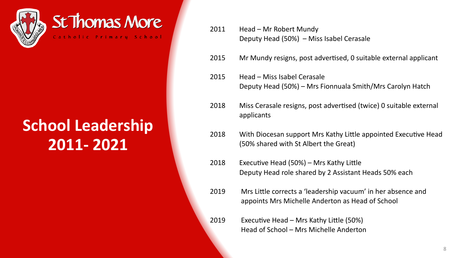

#### St Thomas More Catholic Primary School

### **School Leadership 2011- 2021**

- 2011 Head Mr Robert Mundy Deputy Head (50%) – Miss Isabel Cerasale
- 2015 Mr Mundy resigns, post advertised, 0 suitable external applicant
- 2015 Head Miss Isabel Cerasale Deputy Head (50%) – Mrs Fionnuala Smith/Mrs Carolyn Hatch
- 2018 Miss Cerasale resigns, post advertised (twice) 0 suitable external applicants
- 2018 With Diocesan support Mrs Kathy Little appointed Executive Head (50% shared with St Albert the Great)
- 2018 Executive Head  $(50%)$  Mrs Kathy Little Deputy Head role shared by 2 Assistant Heads 50% each
- 2019 Mrs Little corrects a 'leadership vacuum' in her absence and appoints Mrs Michelle Anderton as Head of School
- 2019 Executive Head Mrs Kathy Little (50%) Head of School – Mrs Michelle Anderton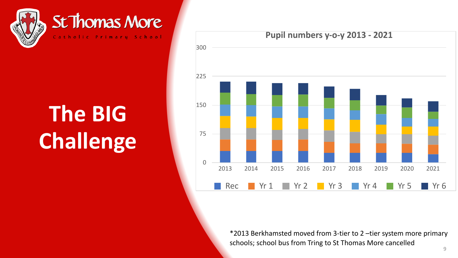

# **The BIG Challenge**



\*2013 Berkhamsted moved from 3-tier to 2 –tier system more primary schools; school bus from Tring to St Thomas More cancelled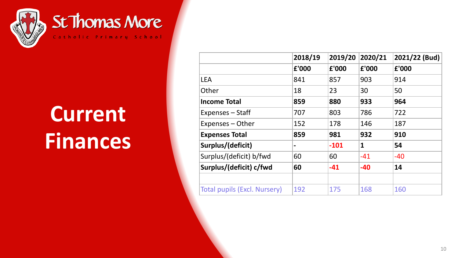

# **Current Finances**

|                                     | 2018/19 | 2019/20 | 2020/21 | 2021/22 (Bud) |
|-------------------------------------|---------|---------|---------|---------------|
|                                     | £'000   | £'000   | £'000   | £'000         |
| <b>LEA</b>                          | 841     | 857     | 903     | 914           |
| Other                               | 18      | 23      | 30      | 50            |
| <b>Income Total</b>                 | 859     | 880     | 933     | 964           |
| Expenses - Staff                    | 707     | 803     | 786     | 722           |
| Expenses - Other                    | 152     | 178     | 146     | 187           |
| <b>Expenses Total</b>               | 859     | 981     | 932     | 910           |
| Surplus/(deficit)                   |         | $-101$  | 1       | 54            |
| Surplus/(deficit) b/fwd             | 60      | 60      | $-41$   | $-40$         |
| Surplus/(deficit) c/fwd             | 60      | $-41$   | $-40$   | 14            |
|                                     |         |         |         |               |
| <b>Total pupils (Excl. Nursery)</b> | 192     | 175     | 168     | 160           |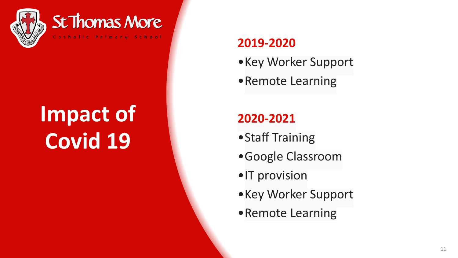

# **Impact of Covid 19**

#### **2019-2020**

- •Key Worker Support
- •Remote Learning

#### **2020-2021**

- •Staff Training
- •Google Classroom
- •IT provision
- •Key Worker Support
- •Remote Learning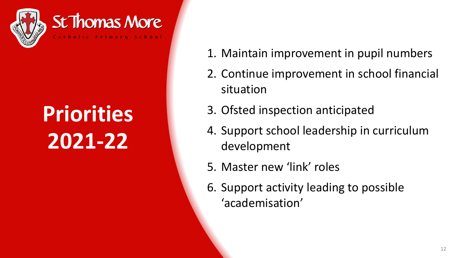

# **Priorities 2021-22**

- 1. Maintain improvement in pupil numbers
- 2. Continue improvement in school financial situation
- 3. Ofsted inspection anticipated
- 4. Support school leadership in curriculum development
- 5. Master new 'link' roles
- 6. Support activity leading to possible 'academisation'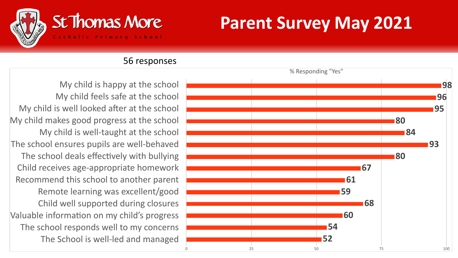

### **Parent Survey May 2021**

#### 56 responses

My child is happy at the school My child feels safe at the school My child is well looked after at the school My child makes good progress at the school My child is well-taught at the school The school ensures pupils are well-behaved The school deals effectively with bullying Child receives age-appropriate homework Recommend this school to another parent Remote learning was excellent/good Child well supported during closures Valuable information on my child's progress The school responds well to my concerns The School is well-led and managed

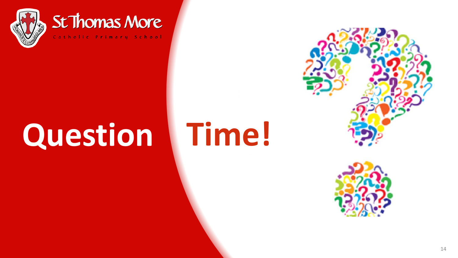

#### St Thomas More Catholic Primary School

# **Question Time!**